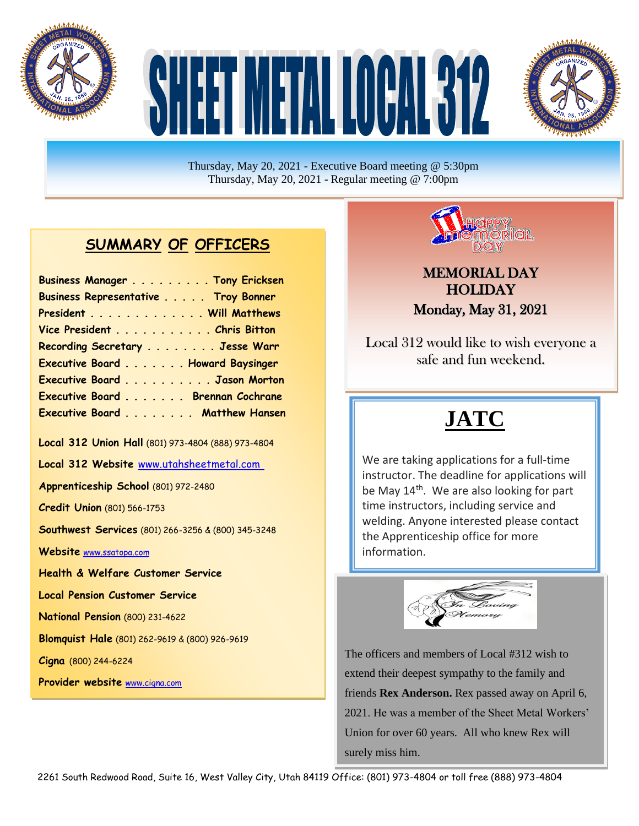

# TMETAL LORANG



Thursday, May 20, 2021 - Executive Board meeting @ 5:30pm Thursday, May 20, 2021 - Regular meeting @ 7:00pm

#### **SUMMARY OF OFFICERS**

| Business Manager Tony Ericksen      |  |
|-------------------------------------|--|
| Business Representative Troy Bonner |  |
| President Will Matthews             |  |
| Vice President Chris Bitton         |  |
| Recording Secretary Jesse Warr      |  |
| Executive Board Howard Baysinger    |  |
| Executive Board Jason Morton        |  |
| Executive Board Brennan Cochrane    |  |
| Executive Board Matthew Hansen      |  |

**Local 312 Union Hall** (801) 973-4804 (888) 973-4804

**Local 312 Website** [www.utahsheetmetal.com](http://www.utahsheetmetal.com/)

**Apprenticeship School** (801) 972-2480

**Credit Union** (801) 566-1753

**Southwest Services** (801) 266-3256 & (800) 345-3248

**Website** [www.ssatopa.com](http://www.ssatopa.com/)

**Health & Welfare Customer Service**

**Local Pension Customer Service**

**National Pension** (800) 231-4622

**Blomquist Hale** (801) 262-9619 & (800) 926-9619

**Dobson & Associates** (801) 274-3028 (877) 402-9805

**Cigna** (800) 244-6224

**Provider website** [www.cigna.com](http://www.cigna.com/)



#### MEMORIAL DAY **HOLIDAY** Monday, May 31, 2021

Local 312 would like to wish everyone a safe and fun weekend.

### **JATC**

be May 14<sup>th</sup>. We are also looking for part We are taking applications for a full-time instructor. The deadline for applications will time instructors, including service and welding. Anyone interested please contact the Apprenticeship office for more information.



The officers and members of Local #312 wish to extend their deepest sympathy to the family and friends **Rex Anderson.** Rex passed away on April 6, 2021. He was a member of the Sheet Metal Workers' Union for over 60 years. All who knew Rex will surely miss him.